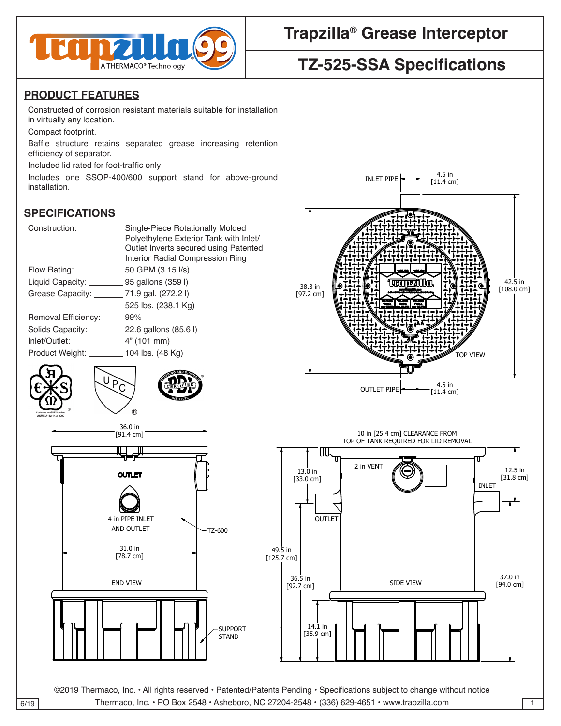

## **Trapzilla® Grease Interceptor**

# **TZ-525-SSA Specifications**

### **PRODUCT FEATURES**

Constructed of corrosion resistant materials suitable for installation in virtually any location.

Compact footprint.

Baffle structure retains separated grease increasing retention efficiency of separator.

Included lid rated for foot-traffic only 4

Includes one SSOP-400/600 support stand for above-ground installation.

### **SPECIFICATIONS**

| Construction: ______                          | Single-Piece Rotationally Molded       |
|-----------------------------------------------|----------------------------------------|
|                                               | Polyethylene Exterior Tank with Inlet/ |
|                                               | Outlet Inverts secured using Patented  |
|                                               | Interior Radial Compression Ring       |
|                                               |                                        |
| Liquid Capacity: 95 gallons (359 l)           |                                        |
| Grease Capacity: ________ 71.9 gal. (272.2 l) |                                        |
|                                               | 525 lbs. (238.1 Kg)                    |
| Removal Efficiency: 99%                       |                                        |
| Solids Capacity: 22.6 gallons (85.6 l)        |                                        |
|                                               |                                        |
| Product Weight: 104 lbs. (48 Kg)              |                                        |
|                                               |                                        |







©2019 Thermaco, Inc. • All rights reserved • Patented/Patents Pending • Specifications subject to change without notice  $\overline{6/19}$  Thermaco, Inc. • PO Box 2548 • Asheboro, NC 27204-2548 • (336) 629-4651 • www.trapzilla.com 1

36.5 in

 $\mathbb{R}$